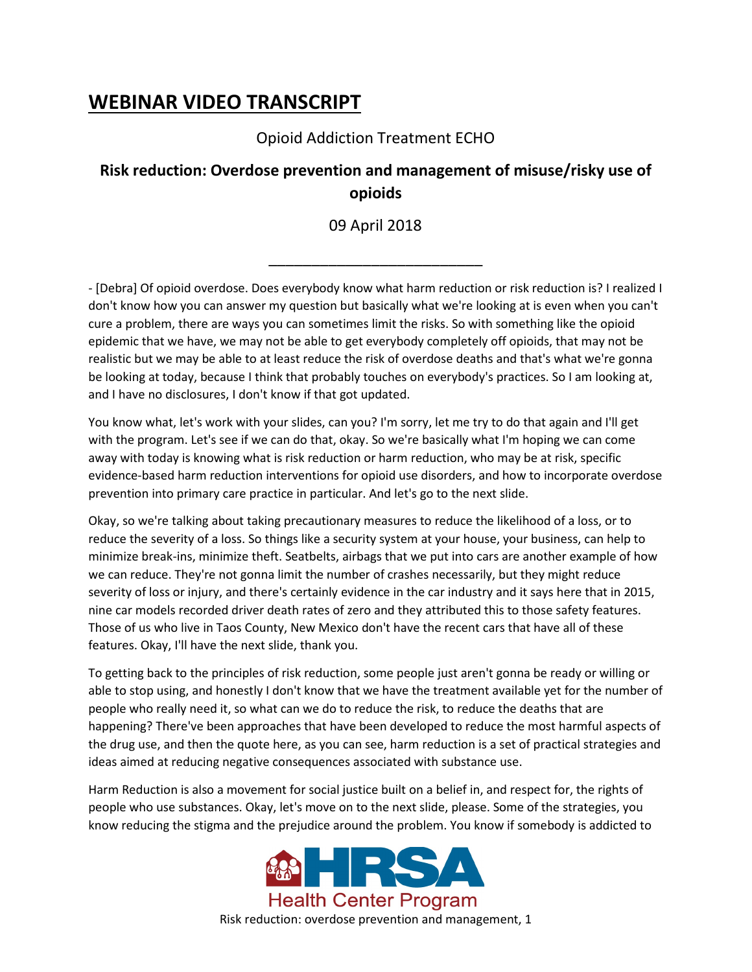## **WEBINAR VIDEO TRANSCRIPT**

## Opioid Addiction Treatment ECHO

## **Risk reduction: Overdose prevention and management of misuse/risky use of opioids**

## 09 April 2018

\_\_\_\_\_\_\_\_\_\_\_\_\_\_\_\_\_\_\_\_\_\_\_\_\_

- [Debra] Of opioid overdose. Does everybody know what harm reduction or risk reduction is? I realized I don't know how you can answer my question but basically what we're looking at is even when you can't cure a problem, there are ways you can sometimes limit the risks. So with something like the opioid epidemic that we have, we may not be able to get everybody completely off opioids, that may not be realistic but we may be able to at least reduce the risk of overdose deaths and that's what we're gonna be looking at today, because I think that probably touches on everybody's practices. So I am looking at, and I have no disclosures, I don't know if that got updated.

You know what, let's work with your slides, can you? I'm sorry, let me try to do that again and I'll get with the program. Let's see if we can do that, okay. So we're basically what I'm hoping we can come away with today is knowing what is risk reduction or harm reduction, who may be at risk, specific evidence-based harm reduction interventions for opioid use disorders, and how to incorporate overdose prevention into primary care practice in particular. And let's go to the next slide.

Okay, so we're talking about taking precautionary measures to reduce the likelihood of a loss, or to reduce the severity of a loss. So things like a security system at your house, your business, can help to minimize break-ins, minimize theft. Seatbelts, airbags that we put into cars are another example of how we can reduce. They're not gonna limit the number of crashes necessarily, but they might reduce severity of loss or injury, and there's certainly evidence in the car industry and it says here that in 2015, nine car models recorded driver death rates of zero and they attributed this to those safety features. Those of us who live in Taos County, New Mexico don't have the recent cars that have all of these features. Okay, I'll have the next slide, thank you.

To getting back to the principles of risk reduction, some people just aren't gonna be ready or willing or able to stop using, and honestly I don't know that we have the treatment available yet for the number of people who really need it, so what can we do to reduce the risk, to reduce the deaths that are happening? There've been approaches that have been developed to reduce the most harmful aspects of the drug use, and then the quote here, as you can see, harm reduction is a set of practical strategies and ideas aimed at reducing negative consequences associated with substance use.

Harm Reduction is also a movement for social justice built on a belief in, and respect for, the rights of people who use substances. Okay, let's move on to the next slide, please. Some of the strategies, you know reducing the stigma and the prejudice around the problem. You know if somebody is addicted to

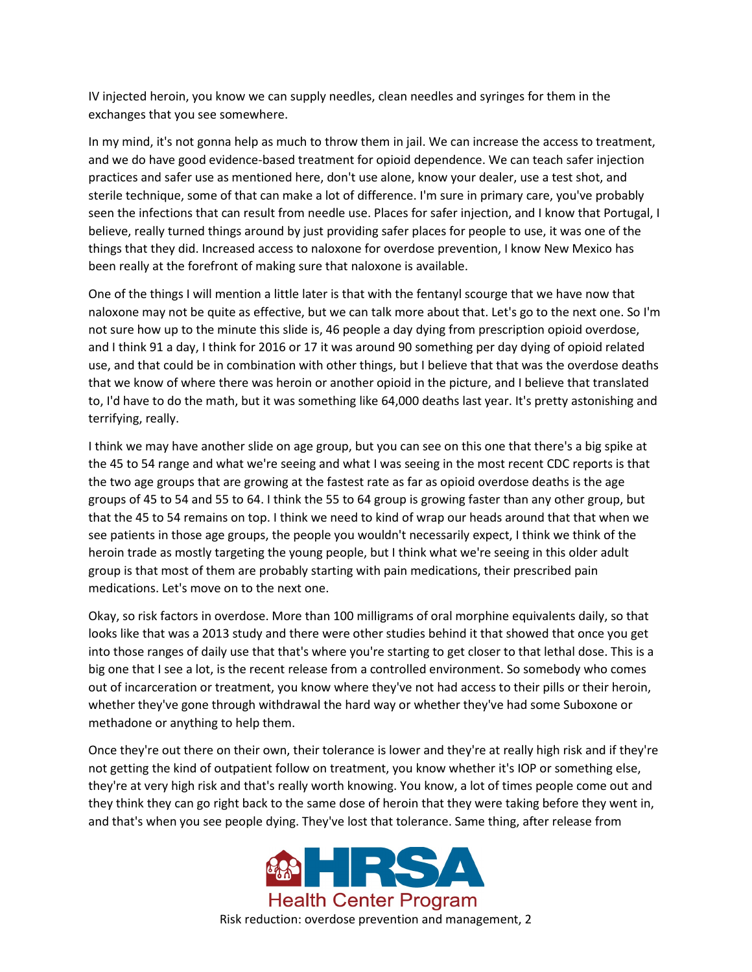IV injected heroin, you know we can supply needles, clean needles and syringes for them in the exchanges that you see somewhere.

In my mind, it's not gonna help as much to throw them in jail. We can increase the access to treatment, and we do have good evidence-based treatment for opioid dependence. We can teach safer injection practices and safer use as mentioned here, don't use alone, know your dealer, use a test shot, and sterile technique, some of that can make a lot of difference. I'm sure in primary care, you've probably seen the infections that can result from needle use. Places for safer injection, and I know that Portugal, I believe, really turned things around by just providing safer places for people to use, it was one of the things that they did. Increased access to naloxone for overdose prevention, I know New Mexico has been really at the forefront of making sure that naloxone is available.

One of the things I will mention a little later is that with the fentanyl scourge that we have now that naloxone may not be quite as effective, but we can talk more about that. Let's go to the next one. So I'm not sure how up to the minute this slide is, 46 people a day dying from prescription opioid overdose, and I think 91 a day, I think for 2016 or 17 it was around 90 something per day dying of opioid related use, and that could be in combination with other things, but I believe that that was the overdose deaths that we know of where there was heroin or another opioid in the picture, and I believe that translated to, I'd have to do the math, but it was something like 64,000 deaths last year. It's pretty astonishing and terrifying, really.

I think we may have another slide on age group, but you can see on this one that there's a big spike at the 45 to 54 range and what we're seeing and what I was seeing in the most recent CDC reports is that the two age groups that are growing at the fastest rate as far as opioid overdose deaths is the age groups of 45 to 54 and 55 to 64. I think the 55 to 64 group is growing faster than any other group, but that the 45 to 54 remains on top. I think we need to kind of wrap our heads around that that when we see patients in those age groups, the people you wouldn't necessarily expect, I think we think of the heroin trade as mostly targeting the young people, but I think what we're seeing in this older adult group is that most of them are probably starting with pain medications, their prescribed pain medications. Let's move on to the next one.

Okay, so risk factors in overdose. More than 100 milligrams of oral morphine equivalents daily, so that looks like that was a 2013 study and there were other studies behind it that showed that once you get into those ranges of daily use that that's where you're starting to get closer to that lethal dose. This is a big one that I see a lot, is the recent release from a controlled environment. So somebody who comes out of incarceration or treatment, you know where they've not had access to their pills or their heroin, whether they've gone through withdrawal the hard way or whether they've had some Suboxone or methadone or anything to help them.

Once they're out there on their own, their tolerance is lower and they're at really high risk and if they're not getting the kind of outpatient follow on treatment, you know whether it's IOP or something else, they're at very high risk and that's really worth knowing. You know, a lot of times people come out and they think they can go right back to the same dose of heroin that they were taking before they went in, and that's when you see people dying. They've lost that tolerance. Same thing, after release from

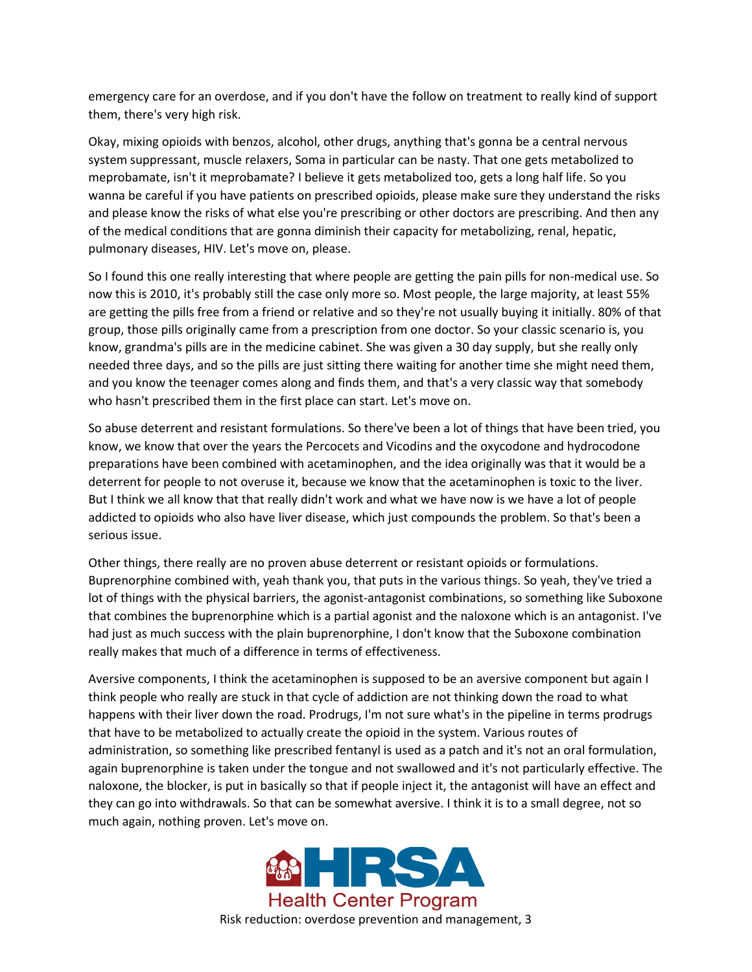emergency care for an overdose, and if you don't have the follow on treatment to really kind of support them, there's very high risk.

Okay, mixing opioids with benzos, alcohol, other drugs, anything that's gonna be a central nervous system suppressant, muscle relaxers, Soma in particular can be nasty. That one gets metabolized to meprobamate, isn't it meprobamate? I believe it gets metabolized too, gets a long half life. So you wanna be careful if you have patients on prescribed opioids, please make sure they understand the risks and please know the risks of what else you're prescribing or other doctors are prescribing. And then any of the medical conditions that are gonna diminish their capacity for metabolizing, renal, hepatic, pulmonary diseases, HIV. Let's move on, please.

So I found this one really interesting that where people are getting the pain pills for non-medical use. So now this is 2010, it's probably still the case only more so. Most people, the large majority, at least 55% are getting the pills free from a friend or relative and so they're not usually buying it initially. 80% of that group, those pills originally came from a prescription from one doctor. So your classic scenario is, you know, grandma's pills are in the medicine cabinet. She was given a 30 day supply, but she really only needed three days, and so the pills are just sitting there waiting for another time she might need them, and you know the teenager comes along and finds them, and that's a very classic way that somebody who hasn't prescribed them in the first place can start. Let's move on.

So abuse deterrent and resistant formulations. So there've been a lot of things that have been tried, you know, we know that over the years the Percocets and Vicodins and the oxycodone and hydrocodone preparations have been combined with acetaminophen, and the idea originally was that it would be a deterrent for people to not overuse it, because we know that the acetaminophen is toxic to the liver. But I think we all know that that really didn't work and what we have now is we have a lot of people addicted to opioids who also have liver disease, which just compounds the problem. So that's been a serious issue.

Other things, there really are no proven abuse deterrent or resistant opioids or formulations. Buprenorphine combined with, yeah thank you, that puts in the various things. So yeah, they've tried a lot of things with the physical barriers, the agonist-antagonist combinations, so something like Suboxone that combines the buprenorphine which is a partial agonist and the naloxone which is an antagonist. I've had just as much success with the plain buprenorphine, I don't know that the Suboxone combination really makes that much of a difference in terms of effectiveness.

Aversive components, I think the acetaminophen is supposed to be an aversive component but again I think people who really are stuck in that cycle of addiction are not thinking down the road to what happens with their liver down the road. Prodrugs, I'm not sure what's in the pipeline in terms prodrugs that have to be metabolized to actually create the opioid in the system. Various routes of administration, so something like prescribed fentanyl is used as a patch and it's not an oral formulation, again buprenorphine is taken under the tongue and not swallowed and it's not particularly effective. The naloxone, the blocker, is put in basically so that if people inject it, the antagonist will have an effect and they can go into withdrawals. So that can be somewhat aversive. I think it is to a small degree, not so much again, nothing proven. Let's move on.

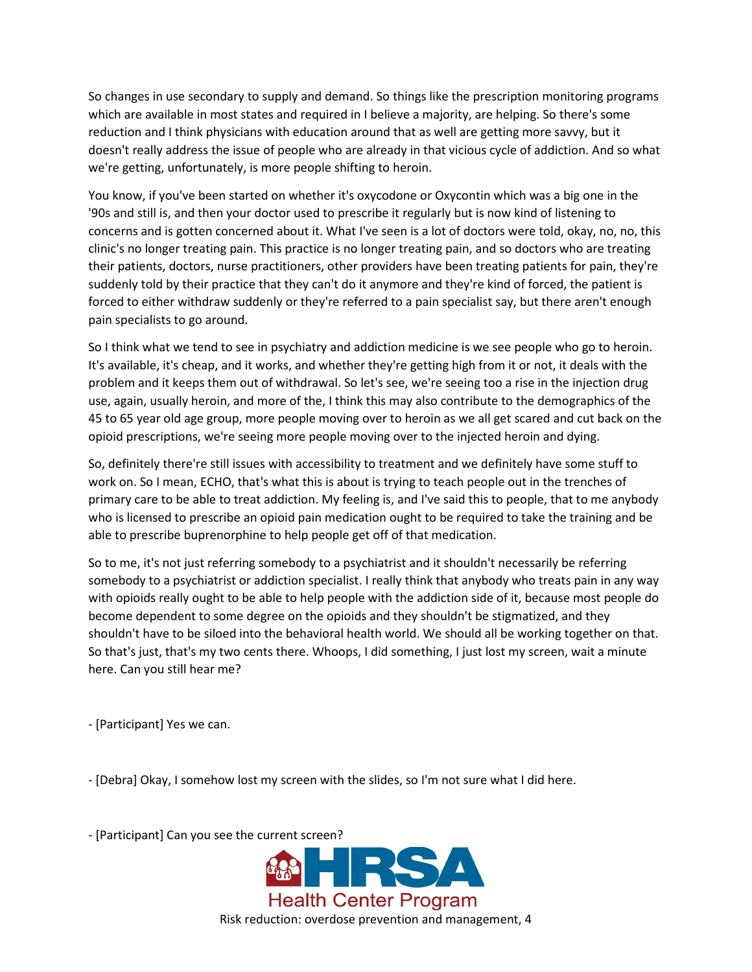So changes in use secondary to supply and demand. So things like the prescription monitoring programs which are available in most states and required in I believe a majority, are helping. So there's some reduction and I think physicians with education around that as well are getting more savvy, but it doesn't really address the issue of people who are already in that vicious cycle of addiction. And so what we're getting, unfortunately, is more people shifting to heroin.

You know, if you've been started on whether it's oxycodone or Oxycontin which was a big one in the '90s and still is, and then your doctor used to prescribe it regularly but is now kind of listening to concerns and is gotten concerned about it. What I've seen is a lot of doctors were told, okay, no, no, this clinic's no longer treating pain. This practice is no longer treating pain, and so doctors who are treating their patients, doctors, nurse practitioners, other providers have been treating patients for pain, they're suddenly told by their practice that they can't do it anymore and they're kind of forced, the patient is forced to either withdraw suddenly or they're referred to a pain specialist say, but there aren't enough pain specialists to go around.

So I think what we tend to see in psychiatry and addiction medicine is we see people who go to heroin. It's available, it's cheap, and it works, and whether they're getting high from it or not, it deals with the problem and it keeps them out of withdrawal. So let's see, we're seeing too a rise in the injection drug use, again, usually heroin, and more of the, I think this may also contribute to the demographics of the 45 to 65 year old age group, more people moving over to heroin as we all get scared and cut back on the opioid prescriptions, we're seeing more people moving over to the injected heroin and dying.

So, definitely there're still issues with accessibility to treatment and we definitely have some stuff to work on. So I mean, ECHO, that's what this is about is trying to teach people out in the trenches of primary care to be able to treat addiction. My feeling is, and I've said this to people, that to me anybody who is licensed to prescribe an opioid pain medication ought to be required to take the training and be able to prescribe buprenorphine to help people get off of that medication.

So to me, it's not just referring somebody to a psychiatrist and it shouldn't necessarily be referring somebody to a psychiatrist or addiction specialist. I really think that anybody who treats pain in any way with opioids really ought to be able to help people with the addiction side of it, because most people do become dependent to some degree on the opioids and they shouldn't be stigmatized, and they shouldn't have to be siloed into the behavioral health world. We should all be working together on that. So that's just, that's my two cents there. Whoops, I did something, I just lost my screen, wait a minute here. Can you still hear me?

- [Participant] Yes we can.

- [Debra] Okay, I somehow lost my screen with the slides, so I'm not sure what I did here.

- [Participant] Can you see the current screen?

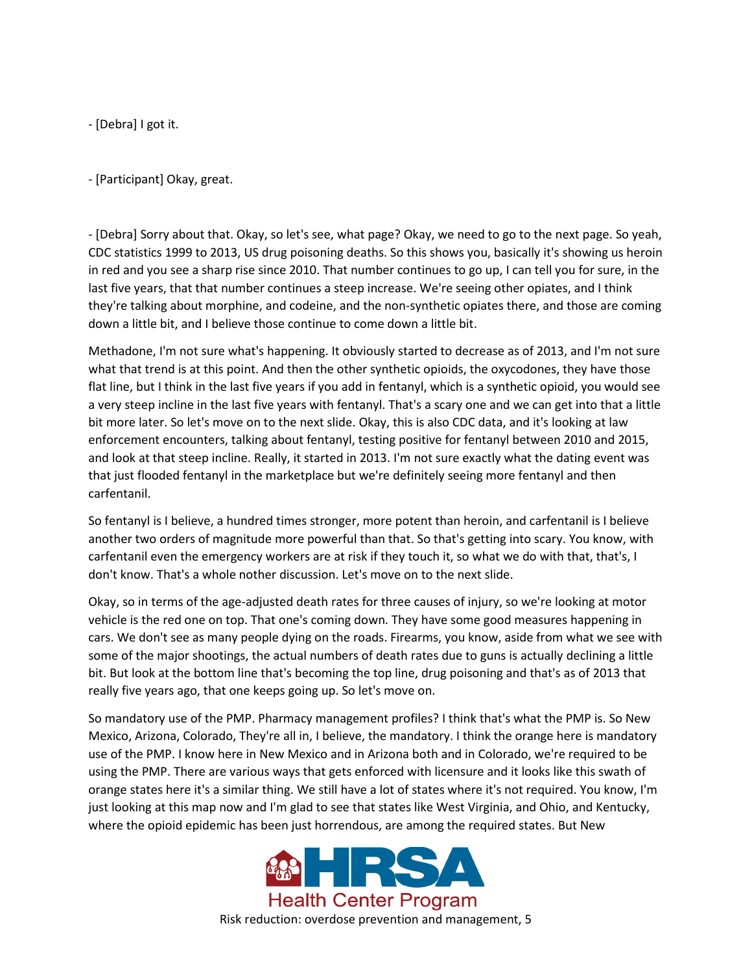- [Debra] I got it.

- [Participant] Okay, great.

- [Debra] Sorry about that. Okay, so let's see, what page? Okay, we need to go to the next page. So yeah, CDC statistics 1999 to 2013, US drug poisoning deaths. So this shows you, basically it's showing us heroin in red and you see a sharp rise since 2010. That number continues to go up, I can tell you for sure, in the last five years, that that number continues a steep increase. We're seeing other opiates, and I think they're talking about morphine, and codeine, and the non-synthetic opiates there, and those are coming down a little bit, and I believe those continue to come down a little bit.

Methadone, I'm not sure what's happening. It obviously started to decrease as of 2013, and I'm not sure what that trend is at this point. And then the other synthetic opioids, the oxycodones, they have those flat line, but I think in the last five years if you add in fentanyl, which is a synthetic opioid, you would see a very steep incline in the last five years with fentanyl. That's a scary one and we can get into that a little bit more later. So let's move on to the next slide. Okay, this is also CDC data, and it's looking at law enforcement encounters, talking about fentanyl, testing positive for fentanyl between 2010 and 2015, and look at that steep incline. Really, it started in 2013. I'm not sure exactly what the dating event was that just flooded fentanyl in the marketplace but we're definitely seeing more fentanyl and then carfentanil.

So fentanyl is I believe, a hundred times stronger, more potent than heroin, and carfentanil is I believe another two orders of magnitude more powerful than that. So that's getting into scary. You know, with carfentanil even the emergency workers are at risk if they touch it, so what we do with that, that's, I don't know. That's a whole nother discussion. Let's move on to the next slide.

Okay, so in terms of the age-adjusted death rates for three causes of injury, so we're looking at motor vehicle is the red one on top. That one's coming down. They have some good measures happening in cars. We don't see as many people dying on the roads. Firearms, you know, aside from what we see with some of the major shootings, the actual numbers of death rates due to guns is actually declining a little bit. But look at the bottom line that's becoming the top line, drug poisoning and that's as of 2013 that really five years ago, that one keeps going up. So let's move on.

So mandatory use of the PMP. Pharmacy management profiles? I think that's what the PMP is. So New Mexico, Arizona, Colorado, They're all in, I believe, the mandatory. I think the orange here is mandatory use of the PMP. I know here in New Mexico and in Arizona both and in Colorado, we're required to be using the PMP. There are various ways that gets enforced with licensure and it looks like this swath of orange states here it's a similar thing. We still have a lot of states where it's not required. You know, I'm just looking at this map now and I'm glad to see that states like West Virginia, and Ohio, and Kentucky, where the opioid epidemic has been just horrendous, are among the required states. But New



Risk reduction: overdose prevention and management, 5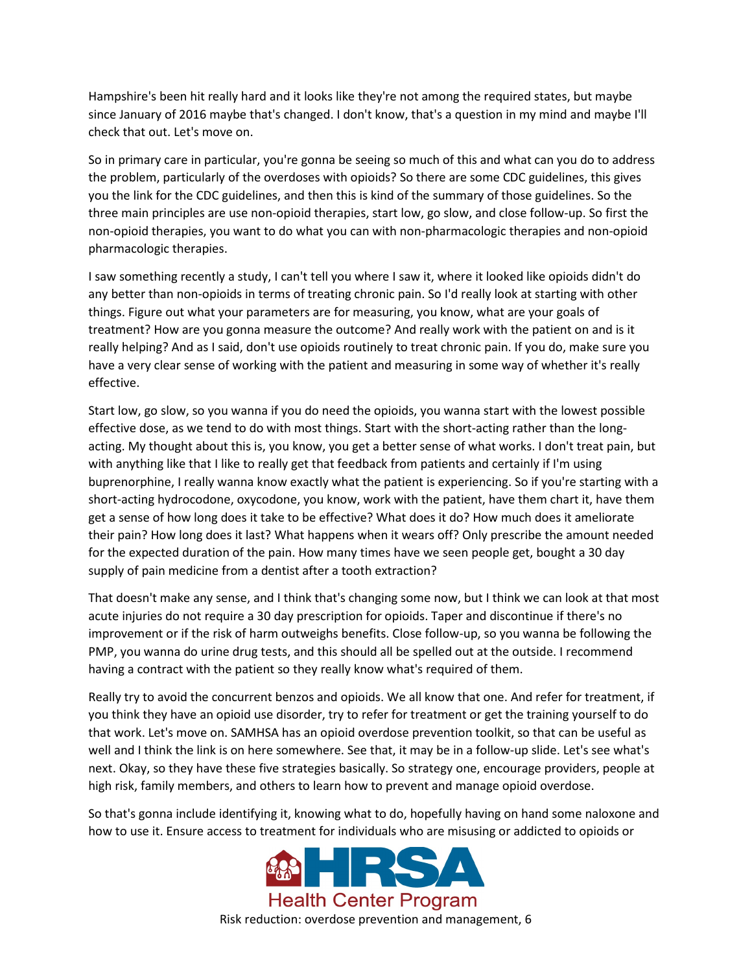Hampshire's been hit really hard and it looks like they're not among the required states, but maybe since January of 2016 maybe that's changed. I don't know, that's a question in my mind and maybe I'll check that out. Let's move on.

So in primary care in particular, you're gonna be seeing so much of this and what can you do to address the problem, particularly of the overdoses with opioids? So there are some CDC guidelines, this gives you the link for the CDC guidelines, and then this is kind of the summary of those guidelines. So the three main principles are use non-opioid therapies, start low, go slow, and close follow-up. So first the non-opioid therapies, you want to do what you can with non-pharmacologic therapies and non-opioid pharmacologic therapies.

I saw something recently a study, I can't tell you where I saw it, where it looked like opioids didn't do any better than non-opioids in terms of treating chronic pain. So I'd really look at starting with other things. Figure out what your parameters are for measuring, you know, what are your goals of treatment? How are you gonna measure the outcome? And really work with the patient on and is it really helping? And as I said, don't use opioids routinely to treat chronic pain. If you do, make sure you have a very clear sense of working with the patient and measuring in some way of whether it's really effective.

Start low, go slow, so you wanna if you do need the opioids, you wanna start with the lowest possible effective dose, as we tend to do with most things. Start with the short-acting rather than the longacting. My thought about this is, you know, you get a better sense of what works. I don't treat pain, but with anything like that I like to really get that feedback from patients and certainly if I'm using buprenorphine, I really wanna know exactly what the patient is experiencing. So if you're starting with a short-acting hydrocodone, oxycodone, you know, work with the patient, have them chart it, have them get a sense of how long does it take to be effective? What does it do? How much does it ameliorate their pain? How long does it last? What happens when it wears off? Only prescribe the amount needed for the expected duration of the pain. How many times have we seen people get, bought a 30 day supply of pain medicine from a dentist after a tooth extraction?

That doesn't make any sense, and I think that's changing some now, but I think we can look at that most acute injuries do not require a 30 day prescription for opioids. Taper and discontinue if there's no improvement or if the risk of harm outweighs benefits. Close follow-up, so you wanna be following the PMP, you wanna do urine drug tests, and this should all be spelled out at the outside. I recommend having a contract with the patient so they really know what's required of them.

Really try to avoid the concurrent benzos and opioids. We all know that one. And refer for treatment, if you think they have an opioid use disorder, try to refer for treatment or get the training yourself to do that work. Let's move on. SAMHSA has an opioid overdose prevention toolkit, so that can be useful as well and I think the link is on here somewhere. See that, it may be in a follow-up slide. Let's see what's next. Okay, so they have these five strategies basically. So strategy one, encourage providers, people at high risk, family members, and others to learn how to prevent and manage opioid overdose.

So that's gonna include identifying it, knowing what to do, hopefully having on hand some naloxone and how to use it. Ensure access to treatment for individuals who are misusing or addicted to opioids or

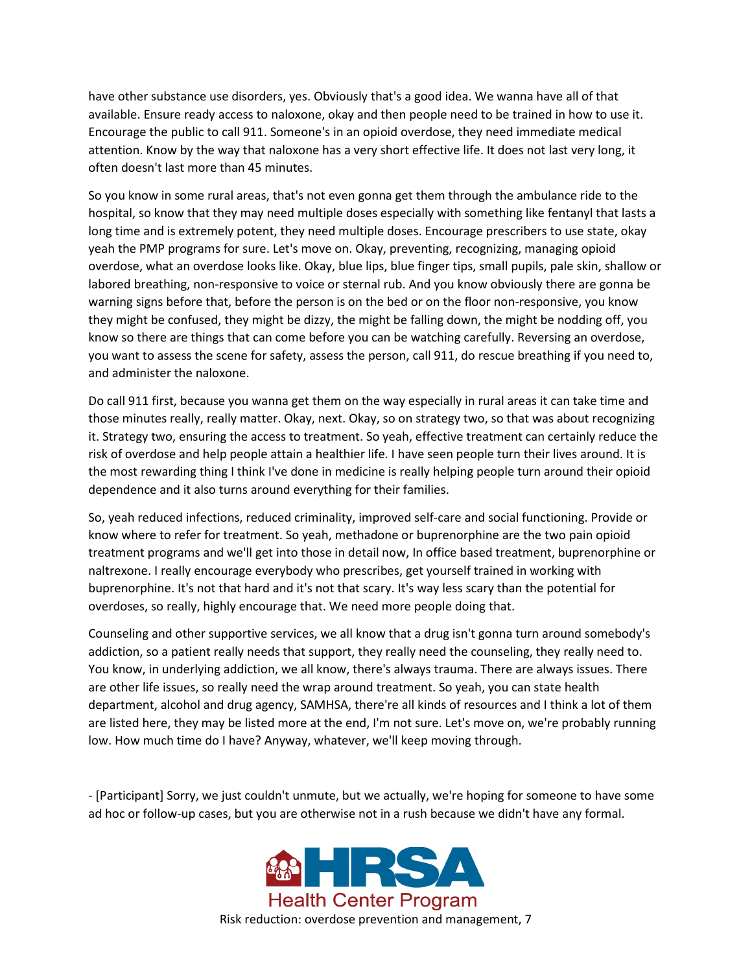have other substance use disorders, yes. Obviously that's a good idea. We wanna have all of that available. Ensure ready access to naloxone, okay and then people need to be trained in how to use it. Encourage the public to call 911. Someone's in an opioid overdose, they need immediate medical attention. Know by the way that naloxone has a very short effective life. It does not last very long, it often doesn't last more than 45 minutes.

So you know in some rural areas, that's not even gonna get them through the ambulance ride to the hospital, so know that they may need multiple doses especially with something like fentanyl that lasts a long time and is extremely potent, they need multiple doses. Encourage prescribers to use state, okay yeah the PMP programs for sure. Let's move on. Okay, preventing, recognizing, managing opioid overdose, what an overdose looks like. Okay, blue lips, blue finger tips, small pupils, pale skin, shallow or labored breathing, non-responsive to voice or sternal rub. And you know obviously there are gonna be warning signs before that, before the person is on the bed or on the floor non-responsive, you know they might be confused, they might be dizzy, the might be falling down, the might be nodding off, you know so there are things that can come before you can be watching carefully. Reversing an overdose, you want to assess the scene for safety, assess the person, call 911, do rescue breathing if you need to, and administer the naloxone.

Do call 911 first, because you wanna get them on the way especially in rural areas it can take time and those minutes really, really matter. Okay, next. Okay, so on strategy two, so that was about recognizing it. Strategy two, ensuring the access to treatment. So yeah, effective treatment can certainly reduce the risk of overdose and help people attain a healthier life. I have seen people turn their lives around. It is the most rewarding thing I think I've done in medicine is really helping people turn around their opioid dependence and it also turns around everything for their families.

So, yeah reduced infections, reduced criminality, improved self-care and social functioning. Provide or know where to refer for treatment. So yeah, methadone or buprenorphine are the two pain opioid treatment programs and we'll get into those in detail now, In office based treatment, buprenorphine or naltrexone. I really encourage everybody who prescribes, get yourself trained in working with buprenorphine. It's not that hard and it's not that scary. It's way less scary than the potential for overdoses, so really, highly encourage that. We need more people doing that.

Counseling and other supportive services, we all know that a drug isn't gonna turn around somebody's addiction, so a patient really needs that support, they really need the counseling, they really need to. You know, in underlying addiction, we all know, there's always trauma. There are always issues. There are other life issues, so really need the wrap around treatment. So yeah, you can state health department, alcohol and drug agency, SAMHSA, there're all kinds of resources and I think a lot of them are listed here, they may be listed more at the end, I'm not sure. Let's move on, we're probably running low. How much time do I have? Anyway, whatever, we'll keep moving through.

- [Participant] Sorry, we just couldn't unmute, but we actually, we're hoping for someone to have some ad hoc or follow-up cases, but you are otherwise not in a rush because we didn't have any formal.

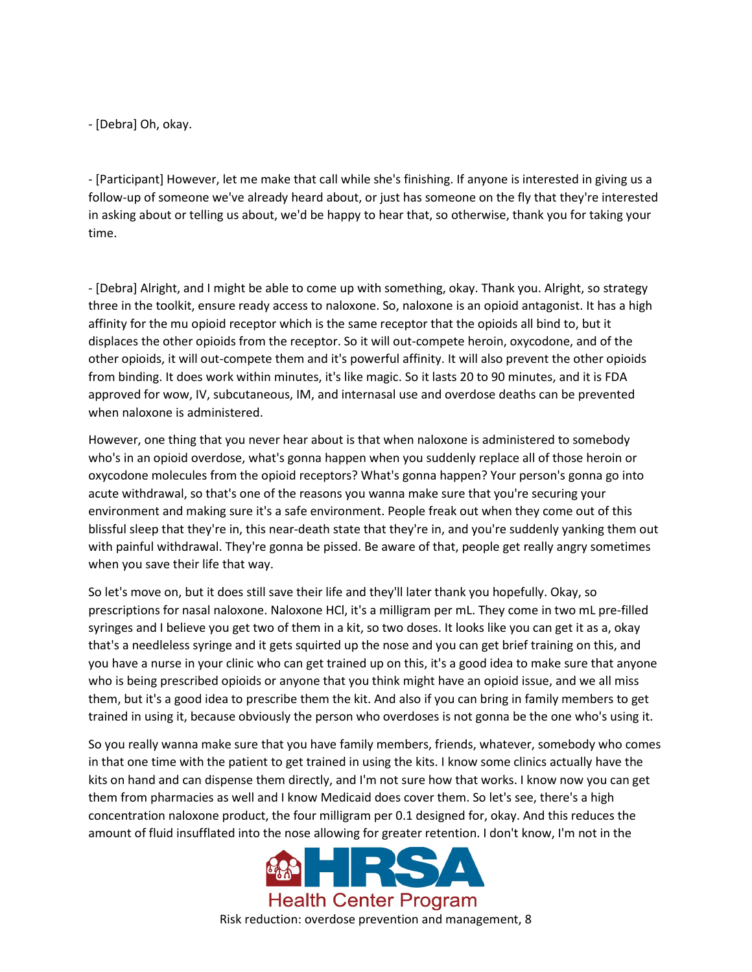- [Debra] Oh, okay.

- [Participant] However, let me make that call while she's finishing. If anyone is interested in giving us a follow-up of someone we've already heard about, or just has someone on the fly that they're interested in asking about or telling us about, we'd be happy to hear that, so otherwise, thank you for taking your time.

- [Debra] Alright, and I might be able to come up with something, okay. Thank you. Alright, so strategy three in the toolkit, ensure ready access to naloxone. So, naloxone is an opioid antagonist. It has a high affinity for the mu opioid receptor which is the same receptor that the opioids all bind to, but it displaces the other opioids from the receptor. So it will out-compete heroin, oxycodone, and of the other opioids, it will out-compete them and it's powerful affinity. It will also prevent the other opioids from binding. It does work within minutes, it's like magic. So it lasts 20 to 90 minutes, and it is FDA approved for wow, IV, subcutaneous, IM, and internasal use and overdose deaths can be prevented when naloxone is administered.

However, one thing that you never hear about is that when naloxone is administered to somebody who's in an opioid overdose, what's gonna happen when you suddenly replace all of those heroin or oxycodone molecules from the opioid receptors? What's gonna happen? Your person's gonna go into acute withdrawal, so that's one of the reasons you wanna make sure that you're securing your environment and making sure it's a safe environment. People freak out when they come out of this blissful sleep that they're in, this near-death state that they're in, and you're suddenly yanking them out with painful withdrawal. They're gonna be pissed. Be aware of that, people get really angry sometimes when you save their life that way.

So let's move on, but it does still save their life and they'll later thank you hopefully. Okay, so prescriptions for nasal naloxone. Naloxone HCl, it's a milligram per mL. They come in two mL pre-filled syringes and I believe you get two of them in a kit, so two doses. It looks like you can get it as a, okay that's a needleless syringe and it gets squirted up the nose and you can get brief training on this, and you have a nurse in your clinic who can get trained up on this, it's a good idea to make sure that anyone who is being prescribed opioids or anyone that you think might have an opioid issue, and we all miss them, but it's a good idea to prescribe them the kit. And also if you can bring in family members to get trained in using it, because obviously the person who overdoses is not gonna be the one who's using it.

So you really wanna make sure that you have family members, friends, whatever, somebody who comes in that one time with the patient to get trained in using the kits. I know some clinics actually have the kits on hand and can dispense them directly, and I'm not sure how that works. I know now you can get them from pharmacies as well and I know Medicaid does cover them. So let's see, there's a high concentration naloxone product, the four milligram per 0.1 designed for, okay. And this reduces the amount of fluid insufflated into the nose allowing for greater retention. I don't know, I'm not in the



Risk reduction: overdose prevention and management, 8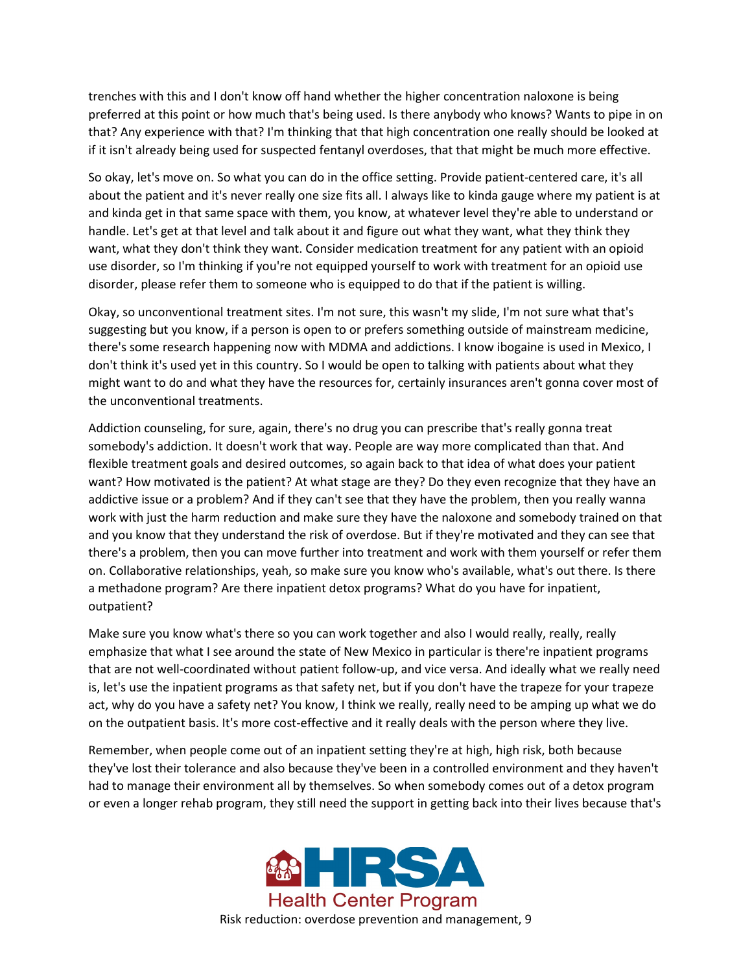trenches with this and I don't know off hand whether the higher concentration naloxone is being preferred at this point or how much that's being used. Is there anybody who knows? Wants to pipe in on that? Any experience with that? I'm thinking that that high concentration one really should be looked at if it isn't already being used for suspected fentanyl overdoses, that that might be much more effective.

So okay, let's move on. So what you can do in the office setting. Provide patient-centered care, it's all about the patient and it's never really one size fits all. I always like to kinda gauge where my patient is at and kinda get in that same space with them, you know, at whatever level they're able to understand or handle. Let's get at that level and talk about it and figure out what they want, what they think they want, what they don't think they want. Consider medication treatment for any patient with an opioid use disorder, so I'm thinking if you're not equipped yourself to work with treatment for an opioid use disorder, please refer them to someone who is equipped to do that if the patient is willing.

Okay, so unconventional treatment sites. I'm not sure, this wasn't my slide, I'm not sure what that's suggesting but you know, if a person is open to or prefers something outside of mainstream medicine, there's some research happening now with MDMA and addictions. I know ibogaine is used in Mexico, I don't think it's used yet in this country. So I would be open to talking with patients about what they might want to do and what they have the resources for, certainly insurances aren't gonna cover most of the unconventional treatments.

Addiction counseling, for sure, again, there's no drug you can prescribe that's really gonna treat somebody's addiction. It doesn't work that way. People are way more complicated than that. And flexible treatment goals and desired outcomes, so again back to that idea of what does your patient want? How motivated is the patient? At what stage are they? Do they even recognize that they have an addictive issue or a problem? And if they can't see that they have the problem, then you really wanna work with just the harm reduction and make sure they have the naloxone and somebody trained on that and you know that they understand the risk of overdose. But if they're motivated and they can see that there's a problem, then you can move further into treatment and work with them yourself or refer them on. Collaborative relationships, yeah, so make sure you know who's available, what's out there. Is there a methadone program? Are there inpatient detox programs? What do you have for inpatient, outpatient?

Make sure you know what's there so you can work together and also I would really, really, really emphasize that what I see around the state of New Mexico in particular is there're inpatient programs that are not well-coordinated without patient follow-up, and vice versa. And ideally what we really need is, let's use the inpatient programs as that safety net, but if you don't have the trapeze for your trapeze act, why do you have a safety net? You know, I think we really, really need to be amping up what we do on the outpatient basis. It's more cost-effective and it really deals with the person where they live.

Remember, when people come out of an inpatient setting they're at high, high risk, both because they've lost their tolerance and also because they've been in a controlled environment and they haven't had to manage their environment all by themselves. So when somebody comes out of a detox program or even a longer rehab program, they still need the support in getting back into their lives because that's

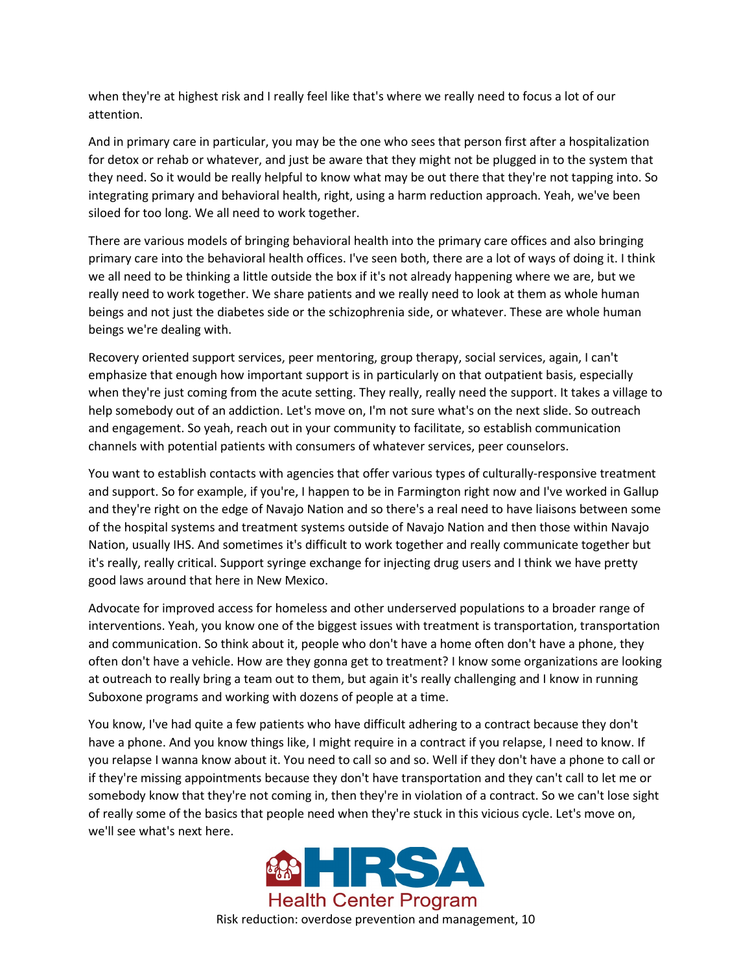when they're at highest risk and I really feel like that's where we really need to focus a lot of our attention.

And in primary care in particular, you may be the one who sees that person first after a hospitalization for detox or rehab or whatever, and just be aware that they might not be plugged in to the system that they need. So it would be really helpful to know what may be out there that they're not tapping into. So integrating primary and behavioral health, right, using a harm reduction approach. Yeah, we've been siloed for too long. We all need to work together.

There are various models of bringing behavioral health into the primary care offices and also bringing primary care into the behavioral health offices. I've seen both, there are a lot of ways of doing it. I think we all need to be thinking a little outside the box if it's not already happening where we are, but we really need to work together. We share patients and we really need to look at them as whole human beings and not just the diabetes side or the schizophrenia side, or whatever. These are whole human beings we're dealing with.

Recovery oriented support services, peer mentoring, group therapy, social services, again, I can't emphasize that enough how important support is in particularly on that outpatient basis, especially when they're just coming from the acute setting. They really, really need the support. It takes a village to help somebody out of an addiction. Let's move on, I'm not sure what's on the next slide. So outreach and engagement. So yeah, reach out in your community to facilitate, so establish communication channels with potential patients with consumers of whatever services, peer counselors.

You want to establish contacts with agencies that offer various types of culturally-responsive treatment and support. So for example, if you're, I happen to be in Farmington right now and I've worked in Gallup and they're right on the edge of Navajo Nation and so there's a real need to have liaisons between some of the hospital systems and treatment systems outside of Navajo Nation and then those within Navajo Nation, usually IHS. And sometimes it's difficult to work together and really communicate together but it's really, really critical. Support syringe exchange for injecting drug users and I think we have pretty good laws around that here in New Mexico.

Advocate for improved access for homeless and other underserved populations to a broader range of interventions. Yeah, you know one of the biggest issues with treatment is transportation, transportation and communication. So think about it, people who don't have a home often don't have a phone, they often don't have a vehicle. How are they gonna get to treatment? I know some organizations are looking at outreach to really bring a team out to them, but again it's really challenging and I know in running Suboxone programs and working with dozens of people at a time.

You know, I've had quite a few patients who have difficult adhering to a contract because they don't have a phone. And you know things like, I might require in a contract if you relapse, I need to know. If you relapse I wanna know about it. You need to call so and so. Well if they don't have a phone to call or if they're missing appointments because they don't have transportation and they can't call to let me or somebody know that they're not coming in, then they're in violation of a contract. So we can't lose sight of really some of the basics that people need when they're stuck in this vicious cycle. Let's move on, we'll see what's next here.



Risk reduction: overdose prevention and management, 10